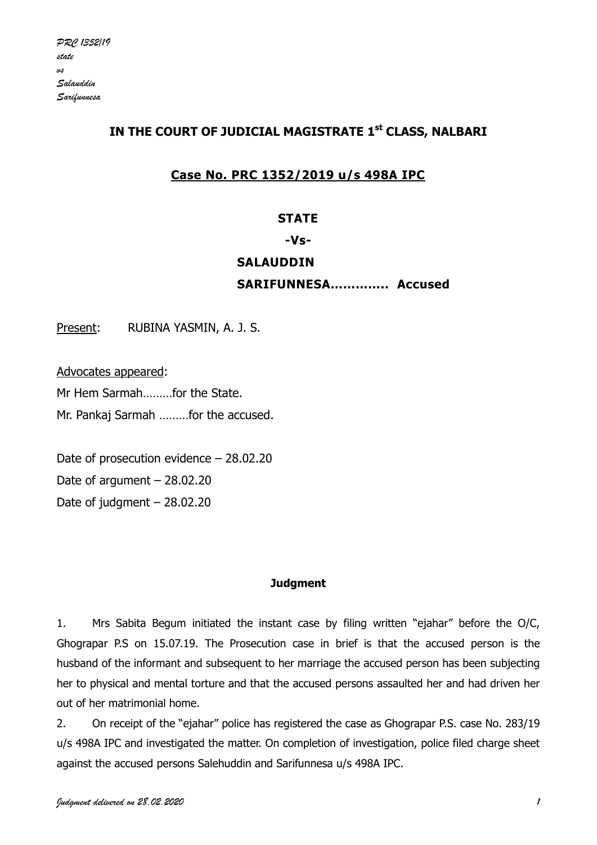# **IN THE COURT OF JUDICIAL MAGISTRATE 1st CLASS, NALBARI**

# **Case No. PRC 1352/2019 u/s 498A IPC**

# **STATE**

### **-Vs-**

## **SALAUDDIN**

**SARIFUNNESA………….. Accused**

Present: RUBINA YASMIN, A. J. S.

Advocates appeared:

Mr Hem Sarmah………for the State.

Mr. Pankaj Sarmah ………for the accused.

Date of prosecution evidence – 28.02.20 Date of argument – 28.02.20 Date of judgment – 28.02.20

## **Judgment**

1. Mrs Sabita Begum initiated the instant case by filing written "ejahar" before the O/C, Ghograpar P.S on 15.07.19. The Prosecution case in brief is that the accused person is the husband of the informant and subsequent to her marriage the accused person has been subjecting her to physical and mental torture and that the accused persons assaulted her and had driven her out of her matrimonial home.

2. On receipt of the "ejahar" police has registered the case as Ghograpar P.S. case No. 283/19 u/s 498A IPC and investigated the matter. On completion of investigation, police filed charge sheet against the accused persons Salehuddin and Sarifunnesa u/s 498A IPC.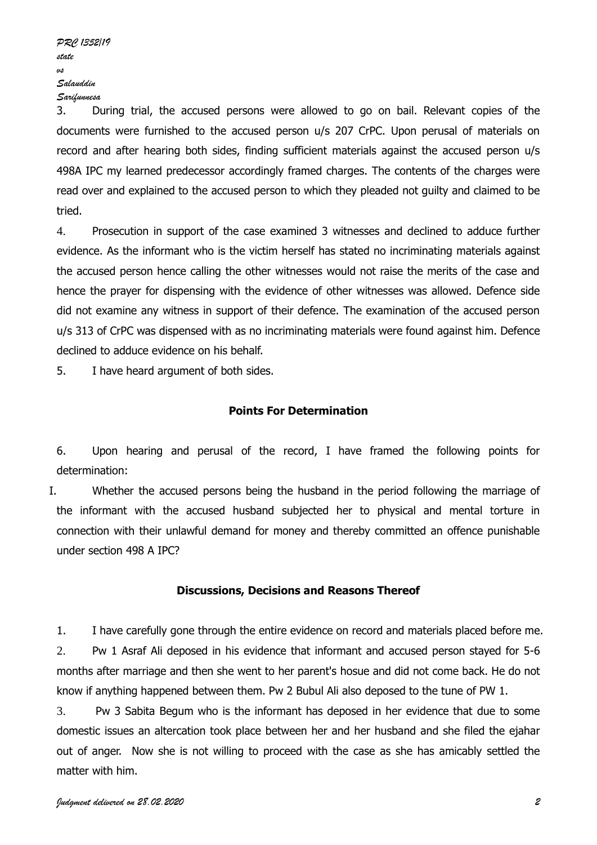3. During trial, the accused persons were allowed to go on bail. Relevant copies of the documents were furnished to the accused person u/s 207 CrPC. Upon perusal of materials on record and after hearing both sides, finding sufficient materials against the accused person u/s 498A IPC my learned predecessor accordingly framed charges. The contents of the charges were read over and explained to the accused person to which they pleaded not guilty and claimed to be tried.

4. Prosecution in support of the case examined 3 witnesses and declined to adduce further evidence. As the informant who is the victim herself has stated no incriminating materials against the accused person hence calling the other witnesses would not raise the merits of the case and hence the prayer for dispensing with the evidence of other witnesses was allowed. Defence side did not examine any witness in support of their defence. The examination of the accused person u/s 313 of CrPC was dispensed with as no incriminating materials were found against him. Defence declined to adduce evidence on his behalf.

5. I have heard argument of both sides.

#### **Points For Determination**

6. Upon hearing and perusal of the record, I have framed the following points for determination:

I. Whether the accused persons being the husband in the period following the marriage of the informant with the accused husband subjected her to physical and mental torture in connection with their unlawful demand for money and thereby committed an offence punishable under section 498 A IPC?

#### **Discussions, Decisions and Reasons Thereof**

1. I have carefully gone through the entire evidence on record and materials placed before me. 2. Pw 1 Asraf Ali deposed in his evidence that informant and accused person stayed for 5-6 months after marriage and then she went to her parent's hosue and did not come back. He do not know if anything happened between them. Pw 2 Bubul Ali also deposed to the tune of PW 1.

3. Pw 3 Sabita Begum who is the informant has deposed in her evidence that due to some domestic issues an altercation took place between her and her husband and she filed the ejahar out of anger. Now she is not willing to proceed with the case as she has amicably settled the matter with him.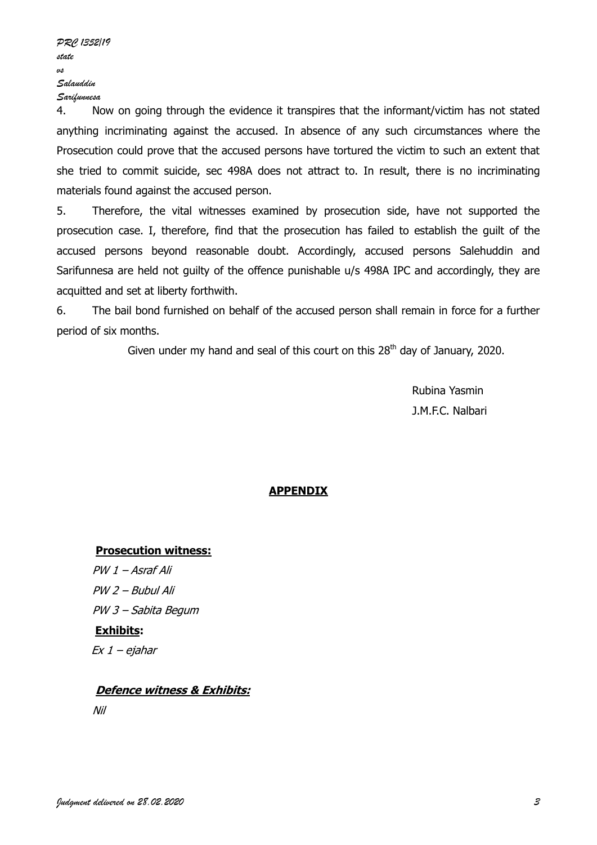4. Now on going through the evidence it transpires that the informant/victim has not stated anything incriminating against the accused. In absence of any such circumstances where the Prosecution could prove that the accused persons have tortured the victim to such an extent that she tried to commit suicide, sec 498A does not attract to. In result, there is no incriminating materials found against the accused person.

5. Therefore, the vital witnesses examined by prosecution side, have not supported the prosecution case. I, therefore, find that the prosecution has failed to establish the guilt of the accused persons beyond reasonable doubt. Accordingly, accused persons Salehuddin and Sarifunnesa are held not guilty of the offence punishable u/s 498A IPC and accordingly, they are acquitted and set at liberty forthwith.

6. The bail bond furnished on behalf of the accused person shall remain in force for a further period of six months.

Given under my hand and seal of this court on this  $28<sup>th</sup>$  day of January, 2020.

Rubina Yasmin J.M.F.C. Nalbari

#### **APPENDIX**

#### **Prosecution witness:**

PW 1 – Asraf Ali PW 2 – Bubul Ali PW 3 – Sabita Begum **Exhibits:** Ex 1 – ejahar

#### **Defence witness & Exhibits:**

Nil